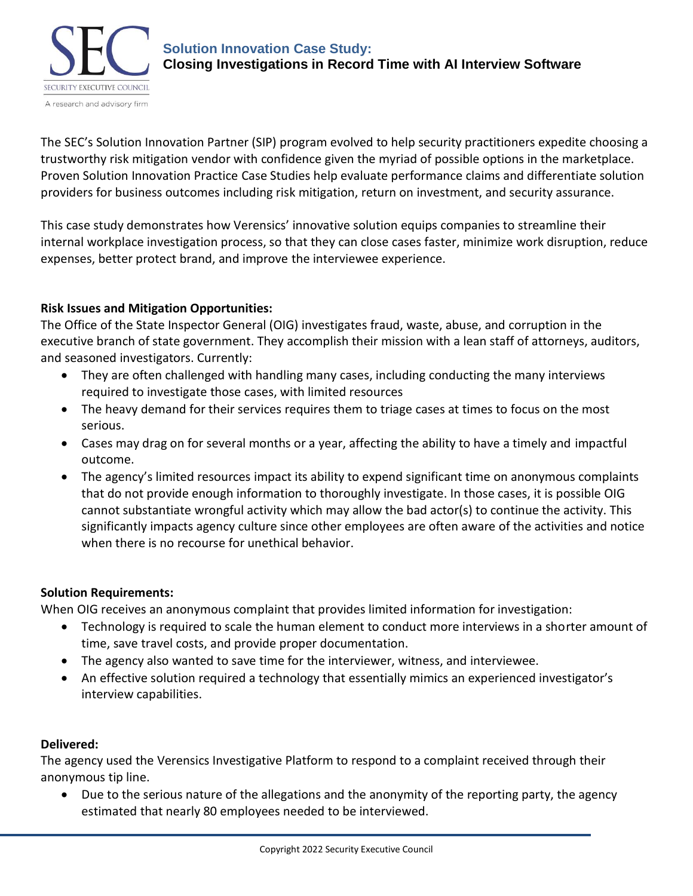

The SEC's Solution Innovation Partner (SIP) program evolved to help security practitioners expedite choosing a trustworthy risk mitigation vendor with confidence given the myriad of possible options in the marketplace. Proven Solution Innovation Practice Case Studies help evaluate performance claims and differentiate solution providers for business outcomes including risk mitigation, return on investment, and security assurance.

This case study demonstrates how Verensics' innovative solution equips companies to streamline their internal workplace investigation process, so that they can close cases faster, minimize work disruption, reduce expenses, better protect brand, and improve the interviewee experience.

# **Risk Issues and Mitigation Opportunities:**

The Office of the State Inspector General (OIG) investigates fraud, waste, abuse, and corruption in the executive branch of state government. They accomplish their mission with a lean staff of attorneys, auditors, and seasoned investigators. Currently:

- They are often challenged with handling many cases, including conducting the many interviews required to investigate those cases, with limited resources
- The heavy demand for their services requires them to triage cases at times to focus on the most serious.
- Cases may drag on for several months or a year, affecting the ability to have a timely and impactful outcome.
- The agency's limited resources impact its ability to expend significant time on anonymous complaints that do not provide enough information to thoroughly investigate. In those cases, it is possible OIG cannot substantiate wrongful activity which may allow the bad actor(s) to continue the activity. This significantly impacts agency culture since other employees are often aware of the activities and notice when there is no recourse for unethical behavior.

# **Solution Requirements:**

When OIG receives an anonymous complaint that provides limited information for investigation:

- Technology is required to scale the human element to conduct more interviews in a shorter amount of time, save travel costs, and provide proper documentation.
- The agency also wanted to save time for the interviewer, witness, and interviewee.
- An effective solution required a technology that essentially mimics an experienced investigator's interview capabilities.

# **Delivered:**

The agency used the Verensics Investigative Platform to respond to a complaint received through their anonymous tip line.

• Due to the serious nature of the allegations and the anonymity of the reporting party, the agency estimated that nearly 80 employees needed to be interviewed.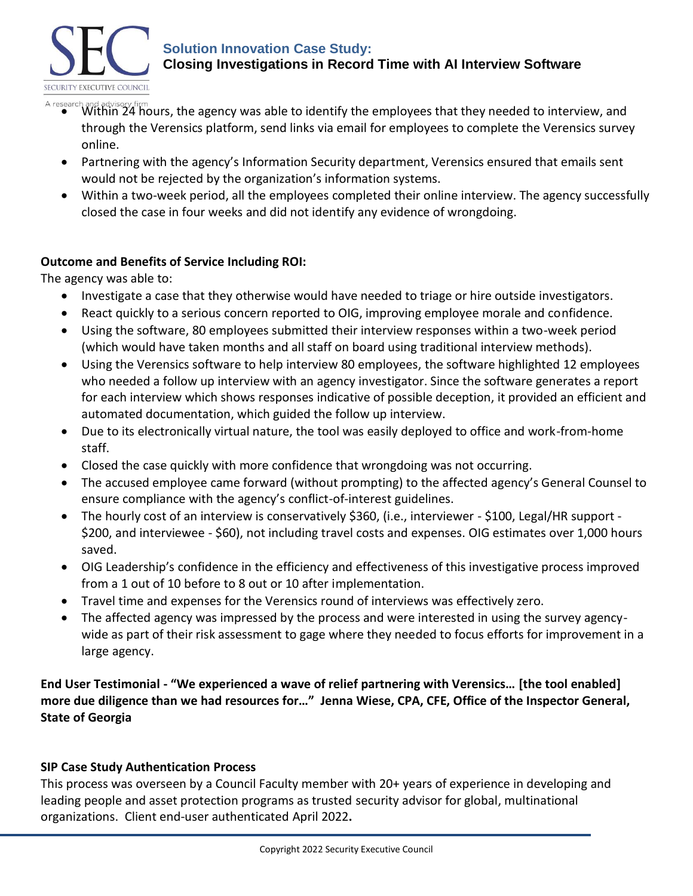

#### **Solution Innovation Case Study: Closing Investigations in Record Time with AI Interview Software**

- A research and advisory firm<br>• Within 24 hours, the agency was able to identify the employees that they needed to interview, and through the Verensics platform, send links via email for employees to complete the Verensics survey online.
	- Partnering with the agency's Information Security department, Verensics ensured that emails sent would not be rejected by the organization's information systems.
	- Within a two-week period, all the employees completed their online interview. The agency successfully closed the case in four weeks and did not identify any evidence of wrongdoing.

# **Outcome and Benefits of Service Including ROI:**

The agency was able to:

- Investigate a case that they otherwise would have needed to triage or hire outside investigators.
- React quickly to a serious concern reported to OIG, improving employee morale and confidence.
- Using the software, 80 employees submitted their interview responses within a two-week period (which would have taken months and all staff on board using traditional interview methods).
- Using the Verensics software to help interview 80 employees, the software highlighted 12 employees who needed a follow up interview with an agency investigator. Since the software generates a report for each interview which shows responses indicative of possible deception, it provided an efficient and automated documentation, which guided the follow up interview.
- Due to its electronically virtual nature, the tool was easily deployed to office and work-from-home staff.
- Closed the case quickly with more confidence that wrongdoing was not occurring.
- The accused employee came forward (without prompting) to the affected agency's General Counsel to ensure compliance with the agency's conflict-of-interest guidelines.
- The hourly cost of an interview is conservatively \$360, (i.e., interviewer \$100, Legal/HR support \$200, and interviewee - \$60), not including travel costs and expenses. OIG estimates over 1,000 hours saved.
- OIG Leadership's confidence in the efficiency and effectiveness of this investigative process improved from a 1 out of 10 before to 8 out or 10 after implementation.
- Travel time and expenses for the Verensics round of interviews was effectively zero.
- The affected agency was impressed by the process and were interested in using the survey agencywide as part of their risk assessment to gage where they needed to focus efforts for improvement in a large agency.

**End User Testimonial - "We experienced a wave of relief partnering with Verensics… [the tool enabled] more due diligence than we had resources for…" Jenna Wiese, CPA, CFE, Office of the Inspector General, State of Georgia**

# **SIP Case Study Authentication Process**

This process was overseen by a Council Faculty member with 20+ years of experience in developing and leading people and asset protection programs as trusted security advisor for global, multinational organizations. Client end-user authenticated April 2022**.**